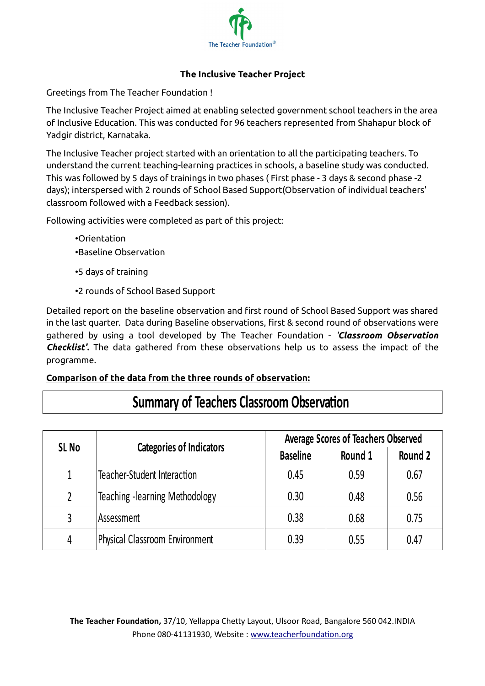

## **The Inclusive Teacher Project**

Greetings from The Teacher Foundation !

The Inclusive Teacher Project aimed at enabling selected government school teachers in the area of Inclusive Education. This was conducted for 96 teachers represented from Shahapur block of Yadgir district, Karnataka.

The Inclusive Teacher project started with an orientation to all the participating teachers. To understand the current teaching-learning practices in schools, a baseline study was conducted. This was followed by 5 days of trainings in two phases ( First phase - 3 days & second phase -2 days); interspersed with 2 rounds of School Based Support(Observation of individual teachers' classroom followed with a Feedback session).

Following activities were completed as part of this project:

- •Orientation •Baseline Observation
- 
- •5 days of training
- •2 rounds of School Based Support

Detailed report on the baseline observation and first round of School Based Support was shared in the last quarter. Data during Baseline observations, first & second round of observations were gathered by using a tool developed by The Teacher Foundation - *'Classroom Observation Checklist'.* The data gathered from these observations help us to assess the impact of the programme.

# **Comparison of the data from the three rounds of observation:**

| SL <sub>No</sub> | <b>Categories of Indicators</b>       | <b>Average Scores of Teachers Observed</b> |         |         |
|------------------|---------------------------------------|--------------------------------------------|---------|---------|
|                  |                                       | <b>Baseline</b>                            | Round 1 | Round 2 |
| 1                | Teacher-Student Interaction           | 0.45                                       | 0.59    | 0.67    |
|                  | Teaching -learning Methodology        | 0.30                                       | 0.48    | 0.56    |
|                  | Assessment                            | 0.38                                       | 0.68    | 0.75    |
| 4                | <b>Physical Classroom Environment</b> | 0.39                                       | 0.55    | 0.47    |

# **Summary of Teachers Classroom Observation**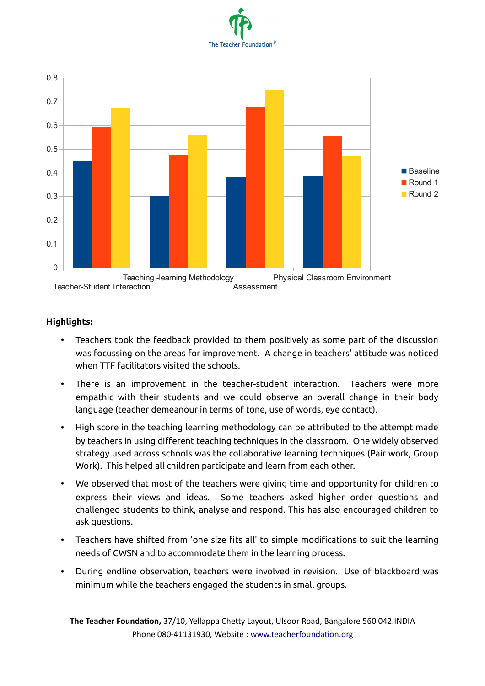



#### **Highlights:**

- Teachers took the feedback provided to them positively as some part of the discussion was focussing on the areas for improvement. A change in teachers' attitude was noticed when TTF facilitators visited the schools.
- There is an improvement in the teacher-student interaction. Teachers were more empathic with their students and we could observe an overall change in their body language (teacher demeanour in terms of tone, use of words, eye contact).
- High score in the teaching learning methodology can be attributed to the attempt made by teachers in using different teaching techniques in the classroom. One widely observed strategy used across schools was the collaborative learning techniques (Pair work, Group Work). This helped all children participate and learn from each other.
- We observed that most of the teachers were giving time and opportunity for children to express their views and ideas. Some teachers asked higher order questions and challenged students to think, analyse and respond. This has also encouraged children to ask questions.
- Teachers have shifted from 'one size fits all' to simple modifications to suit the learning needs of CWSN and to accommodate them in the learning process.
- During endline observation, teachers were involved in revision. Use of blackboard was minimum while the teachers engaged the students in small groups.

**The Teacher Foundation,** 37/10, Yellappa Chetty Layout, Ulsoor Road, Bangalore 560 042.INDIA Phone 080-41131930, Website : [www.teacherfoundation.org](http://www.teacherfoundation.org/)